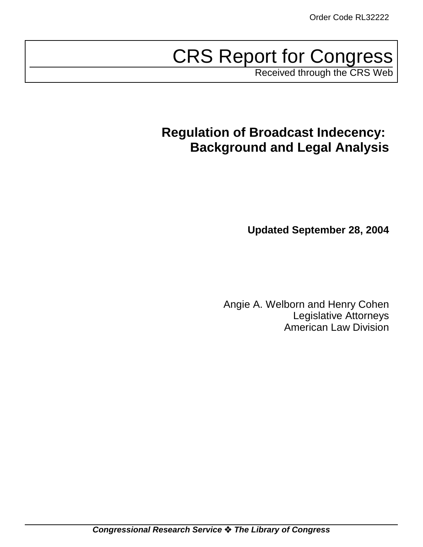# CRS Report for Congress

Received through the CRS Web

# **Regulation of Broadcast Indecency: Background and Legal Analysis**

**Updated September 28, 2004**

Angie A. Welborn and Henry Cohen Legislative Attorneys American Law Division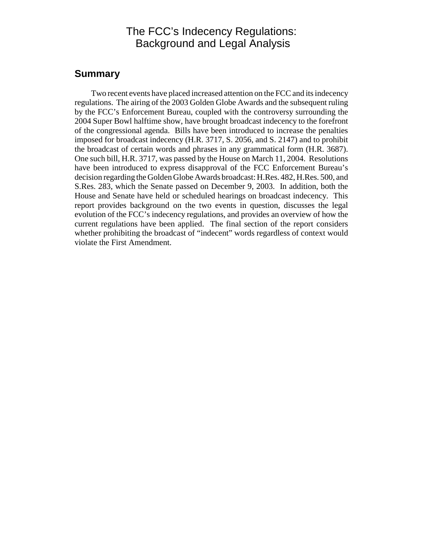# The FCC's Indecency Regulations: Background and Legal Analysis

# **Summary**

Two recent events have placed increased attention on the FCC and its indecency regulations. The airing of the 2003 Golden Globe Awards and the subsequent ruling by the FCC's Enforcement Bureau, coupled with the controversy surrounding the 2004 Super Bowl halftime show, have brought broadcast indecency to the forefront of the congressional agenda. Bills have been introduced to increase the penalties imposed for broadcast indecency (H.R. 3717, S. 2056, and S. 2147) and to prohibit the broadcast of certain words and phrases in any grammatical form (H.R. 3687). One such bill, H.R. 3717, was passed by the House on March 11, 2004. Resolutions have been introduced to express disapproval of the FCC Enforcement Bureau's decision regarding the Golden Globe Awards broadcast: H.Res. 482, H.Res. 500, and S.Res. 283, which the Senate passed on December 9, 2003. In addition, both the House and Senate have held or scheduled hearings on broadcast indecency. This report provides background on the two events in question, discusses the legal evolution of the FCC's indecency regulations, and provides an overview of how the current regulations have been applied. The final section of the report considers whether prohibiting the broadcast of "indecent" words regardless of context would violate the First Amendment.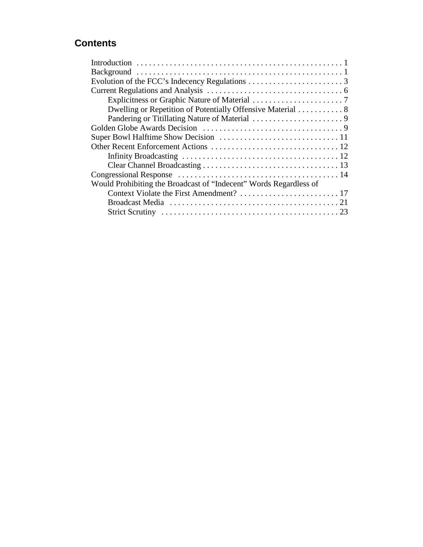# **Contents**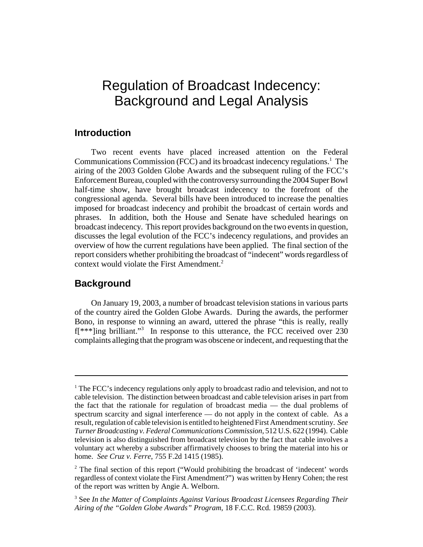# Regulation of Broadcast Indecency: Background and Legal Analysis

## **Introduction**

Two recent events have placed increased attention on the Federal Communications Commission (FCC) and its broadcast indecency regulations.<sup>1</sup> The airing of the 2003 Golden Globe Awards and the subsequent ruling of the FCC's Enforcement Bureau, coupled with the controversy surrounding the 2004 Super Bowl half-time show, have brought broadcast indecency to the forefront of the congressional agenda. Several bills have been introduced to increase the penalties imposed for broadcast indecency and prohibit the broadcast of certain words and phrases. In addition, both the House and Senate have scheduled hearings on broadcast indecency. This report provides background on the two events in question, discusses the legal evolution of the FCC's indecency regulations, and provides an overview of how the current regulations have been applied. The final section of the report considers whether prohibiting the broadcast of "indecent" words regardless of context would violate the First Amendment. $2$ 

### **Background**

On January 19, 2003, a number of broadcast television stations in various parts of the country aired the Golden Globe Awards. During the awards, the performer Bono, in response to winning an award, uttered the phrase "this is really, really f[\*\*\*]ing brilliant."3 In response to this utterance, the FCC received over 230 complaints alleging that the program was obscene or indecent, and requesting that the

<sup>&</sup>lt;sup>1</sup> The FCC's indecency regulations only apply to broadcast radio and television, and not to cable television. The distinction between broadcast and cable television arises in part from the fact that the rationale for regulation of broadcast media — the dual problems of spectrum scarcity and signal interference — do not apply in the context of cable. As a result, regulation of cable television is entitled to heightened First Amendment scrutiny. *See Turner Broadcasting v. Federal Communications Commission*, 512 U.S. 622 (1994). Cable television is also distinguished from broadcast television by the fact that cable involves a voluntary act whereby a subscriber affirmatively chooses to bring the material into his or home. *See Cruz v. Ferre*, 755 F.2d 1415 (1985).

<sup>&</sup>lt;sup>2</sup> The final section of this report ("Would prohibiting the broadcast of 'indecent' words regardless of context violate the First Amendment?") was written by Henry Cohen; the rest of the report was written by Angie A. Welborn.

<sup>3</sup> See *In the Matter of Complaints Against Various Broadcast Licensees Regarding Their Airing of the "Golden Globe Awards" Program*, 18 F.C.C. Rcd. 19859 (2003).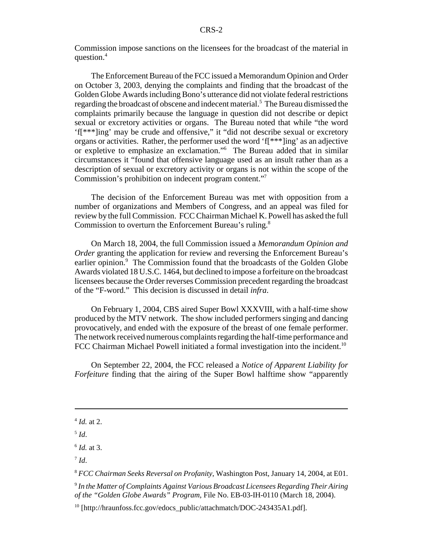Commission impose sanctions on the licensees for the broadcast of the material in question.4

The Enforcement Bureau of the FCC issued a Memorandum Opinion and Order on October 3, 2003, denying the complaints and finding that the broadcast of the Golden Globe Awards including Bono's utterance did not violate federal restrictions regarding the broadcast of obscene and indecent material.<sup>5</sup> The Bureau dismissed the complaints primarily because the language in question did not describe or depict sexual or excretory activities or organs. The Bureau noted that while "the word 'f[\*\*\*]ing' may be crude and offensive," it "did not describe sexual or excretory organs or activities. Rather, the performer used the word 'f[\*\*\*]ing' as an adjective or expletive to emphasize an exclamation."6 The Bureau added that in similar circumstances it "found that offensive language used as an insult rather than as a description of sexual or excretory activity or organs is not within the scope of the Commission's prohibition on indecent program content."7

The decision of the Enforcement Bureau was met with opposition from a number of organizations and Members of Congress, and an appeal was filed for review by the full Commission. FCC Chairman Michael K. Powell has asked the full Commission to overturn the Enforcement Bureau's ruling.<sup>8</sup>

On March 18, 2004, the full Commission issued a *Memorandum Opinion and Order* granting the application for review and reversing the Enforcement Bureau's earlier opinion.<sup>9</sup> The Commission found that the broadcasts of the Golden Globe Awards violated 18 U.S.C. 1464, but declined to impose a forfeiture on the broadcast licensees because the Order reverses Commission precedent regarding the broadcast of the "F-word." This decision is discussed in detail *infra*.

On February 1, 2004, CBS aired Super Bowl XXXVIII, with a half-time show produced by the MTV network. The show included performers singing and dancing provocatively, and ended with the exposure of the breast of one female performer. The network received numerous complaints regarding the half-time performance and FCC Chairman Michael Powell initiated a formal investigation into the incident.<sup>10</sup>

On September 22, 2004, the FCC released a *Notice of Apparent Liability for Forfeiture* finding that the airing of the Super Bowl halftime show "apparently

<sup>4</sup> *Id.* at 2.

 $5$   $Id$ .

<sup>6</sup> *Id.* at 3.

 $^7$  *Id.* 

<sup>8</sup> *FCC Chairman Seeks Reversal on Profanity*, Washington Post, January 14, 2004, at E01.

<sup>9</sup> *In the Matter of Complaints Against Various Broadcast Licensees Regarding Their Airing of the "Golden Globe Awards" Program*, File No. EB-03-IH-0110 (March 18, 2004).

 $10$  [http://hraunfoss.fcc.gov/edocs\_public/attachmatch/DOC-243435A1.pdf].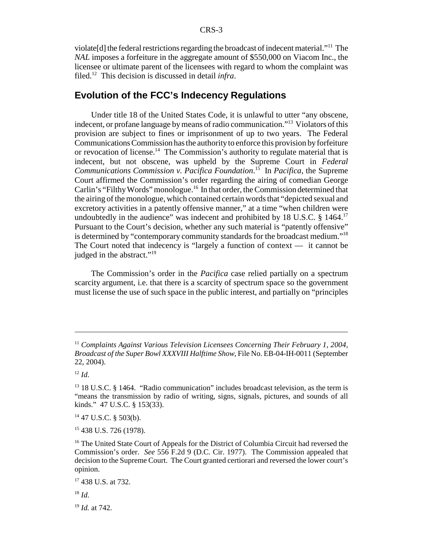violate[d] the federal restrictions regarding the broadcast of indecent material."11 The *NAL* imposes a forfeiture in the aggregate amount of \$550,000 on Viacom Inc., the licensee or ultimate parent of the licensees with regard to whom the complaint was filed.12 This decision is discussed in detail *infra*.

# **Evolution of the FCC's Indecency Regulations**

Under title 18 of the United States Code, it is unlawful to utter "any obscene, indecent, or profane language by means of radio communication."13 Violators of this provision are subject to fines or imprisonment of up to two years. The Federal Communications Commission has the authority to enforce this provision by forfeiture or revocation of license.<sup>14</sup> The Commission's authority to regulate material that is indecent, but not obscene, was upheld by the Supreme Court in *Federal Communications Commission v. Pacifica Foundation*. 15 In *Pacifica*, the Supreme Court affirmed the Commission's order regarding the airing of comedian George Carlin's "Filthy Words" monologue.<sup>16</sup> In that order, the Commission determined that the airing of the monologue, which contained certain words that "depicted sexual and excretory activities in a patently offensive manner," at a time "when children were undoubtedly in the audience" was indecent and prohibited by 18 U.S.C. § 1464.<sup>17</sup> Pursuant to the Court's decision, whether any such material is "patently offensive" is determined by "contemporary community standards for the broadcast medium."18 The Court noted that indecency is "largely a function of context — it cannot be judged in the abstract."<sup>19</sup>

The Commission's order in the *Pacifica* case relied partially on a spectrum scarcity argument, i.e. that there is a scarcity of spectrum space so the government must license the use of such space in the public interest, and partially on "principles

 $14$  47 U.S.C. § 503(b).

15 438 U.S. 726 (1978).

 $^{18}$  *Id.* 

<sup>19</sup> *Id.* at 742.

<sup>11</sup> *Complaints Against Various Television Licensees Concerning Their February 1, 2004, Broadcast of the Super Bowl XXXVIII Halftime Show*, File No. EB-04-IH-0011 (September 22, 2004).

 $12$  *Id.* 

<sup>&</sup>lt;sup>13</sup> 18 U.S.C. § 1464. "Radio communication" includes broadcast television, as the term is "means the transmission by radio of writing, signs, signals, pictures, and sounds of all kinds." 47 U.S.C. § 153(33).

<sup>&</sup>lt;sup>16</sup> The United State Court of Appeals for the District of Columbia Circuit had reversed the Commission's order. *See* 556 F.2d 9 (D.C. Cir. 1977). The Commission appealed that decision to the Supreme Court. The Court granted certiorari and reversed the lower court's opinion.

<sup>&</sup>lt;sup>17</sup> 438 U.S. at 732.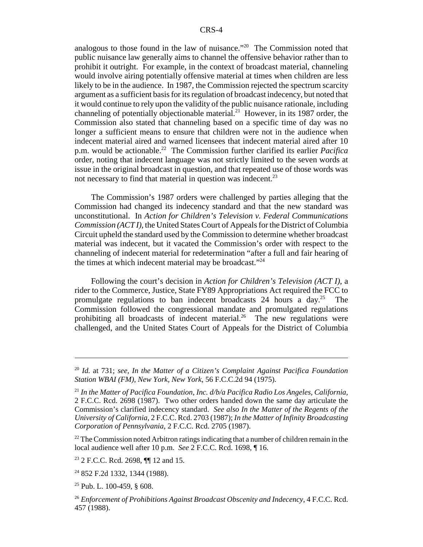analogous to those found in the law of nuisance."20 The Commission noted that public nuisance law generally aims to channel the offensive behavior rather than to prohibit it outright. For example, in the context of broadcast material, channeling would involve airing potentially offensive material at times when children are less likely to be in the audience. In 1987, the Commission rejected the spectrum scarcity argument as a sufficient basis for its regulation of broadcast indecency, but noted that it would continue to rely upon the validity of the public nuisance rationale, including channeling of potentially objectionable material.<sup>21</sup> However, in its 1987 order, the Commission also stated that channeling based on a specific time of day was no longer a sufficient means to ensure that children were not in the audience when indecent material aired and warned licensees that indecent material aired after 10 p.m. would be actionable.<sup>22</sup> The Commission further clarified its earlier *Pacifica* order, noting that indecent language was not strictly limited to the seven words at issue in the original broadcast in question, and that repeated use of those words was not necessary to find that material in question was indecent.<sup>23</sup>

The Commission's 1987 orders were challenged by parties alleging that the Commission had changed its indecency standard and that the new standard was unconstitutional. In *Action for Children's Television v. Federal Communications Commission (ACT I)*, the United States Court of Appeals for the District of Columbia Circuit upheld the standard used by the Commission to determine whether broadcast material was indecent, but it vacated the Commission's order with respect to the channeling of indecent material for redetermination "after a full and fair hearing of the times at which indecent material may be broadcast."<sup>24</sup>

Following the court's decision in *Action for Children's Television (ACT I)*, a rider to the Commerce, Justice, State FY89 Appropriations Act required the FCC to promulgate regulations to ban indecent broadcasts 24 hours a day.<sup>25</sup> The Commission followed the congressional mandate and promulgated regulations prohibiting all broadcasts of indecent material.<sup>26</sup> The new regulations were challenged, and the United States Court of Appeals for the District of Columbia

 $2<sup>22</sup>$  The Commission noted Arbitron ratings indicating that a number of children remain in the local audience well after 10 p.m. *See* 2 F.C.C. Rcd. 1698, ¶ 16.

23 2 F.C.C. Rcd. 2698, ¶¶ 12 and 15.

<sup>24</sup> 852 F.2d 1332, 1344 (1988).

 $25$  Pub. L. 100-459, § 608.

<sup>20</sup> *Id.* at 731; *see*, *In the Matter of a Citizen's Complaint Against Pacifica Foundation Station WBAI (FM), New York, New York*, 56 F.C.C.2d 94 (1975).

<sup>21</sup> *In the Matter of Pacifica Foundation, Inc. d/b/a Pacifica Radio Los Angeles, California*, 2 F.C.C. Rcd. 2698 (1987). Two other orders handed down the same day articulate the Commission's clarified indecency standard. *See also In the Matter of the Regents of the University of California*, 2 F.C.C. Rcd. 2703 (1987); *In the Matter of Infinity Broadcasting Corporation of Pennsylvania*, 2 F.C.C. Rcd. 2705 (1987).

<sup>26</sup> *Enforcement of Prohibitions Against Broadcast Obscenity and Indecency*, 4 F.C.C. Rcd. 457 (1988).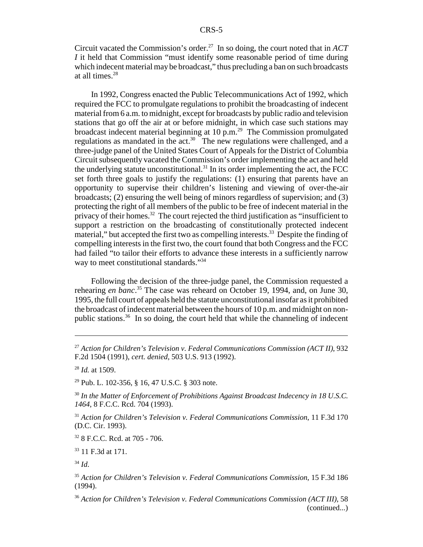Circuit vacated the Commission's order.27 In so doing, the court noted that in *ACT I* it held that Commission "must identify some reasonable period of time during which indecent material may be broadcast," thus precluding a ban on such broadcasts at all times.28

In 1992, Congress enacted the Public Telecommunications Act of 1992, which required the FCC to promulgate regulations to prohibit the broadcasting of indecent material from 6 a.m. to midnight, except for broadcasts by public radio and television stations that go off the air at or before midnight, in which case such stations may broadcast indecent material beginning at 10 p.m.29 The Commission promulgated regulations as mandated in the act.<sup>30</sup> The new regulations were challenged, and a three-judge panel of the United States Court of Appeals for the District of Columbia Circuit subsequently vacated the Commission's order implementing the act and held the underlying statute unconstitutional.<sup>31</sup> In its order implementing the act, the FCC set forth three goals to justify the regulations: (1) ensuring that parents have an opportunity to supervise their children's listening and viewing of over-the-air broadcasts; (2) ensuring the well being of minors regardless of supervision; and (3) protecting the right of all members of the public to be free of indecent material in the privacy of their homes.32 The court rejected the third justification as "insufficient to support a restriction on the broadcasting of constitutionally protected indecent material," but accepted the first two as compelling interests.<sup>33</sup> Despite the finding of compelling interests in the first two, the court found that both Congress and the FCC had failed "to tailor their efforts to advance these interests in a sufficiently narrow way to meet constitutional standards."<sup>34</sup>

Following the decision of the three-judge panel, the Commission requested a rehearing *en banc*. 35 The case was reheard on October 19, 1994, and, on June 30, 1995, the full court of appeals held the statute unconstitutional insofar as it prohibited the broadcast of indecent material between the hours of 10 p.m. and midnight on nonpublic stations.<sup>36</sup> In so doing, the court held that while the channeling of indecent

<sup>28</sup> *Id.* at 1509.

29 Pub. L. 102-356, § 16, 47 U.S.C. § 303 note.

<sup>30</sup> *In the Matter of Enforcement of Prohibitions Against Broadcast Indecency in 18 U.S.C. 1464*, 8 F.C.C. Rcd. 704 (1993).

<sup>31</sup> *Action for Children's Television v. Federal Communications Commission*, 11 F.3d 170 (D.C. Cir. 1993).

32 8 F.C.C. Rcd. at 705 - 706.

33 11 F.3d at 171.

<sup>27</sup> *Action for Children's Television v. Federal Communications Commission (ACT II)*, 932 F.2d 1504 (1991), *cert. denied*, 503 U.S. 913 (1992).

<sup>34</sup> *Id*.

<sup>35</sup> *Action for Children's Television v. Federal Communications Commission*, 15 F.3d 186 (1994).

<sup>36</sup> *Action for Children's Television v. Federal Communications Commission (ACT III)*, 58 (continued...)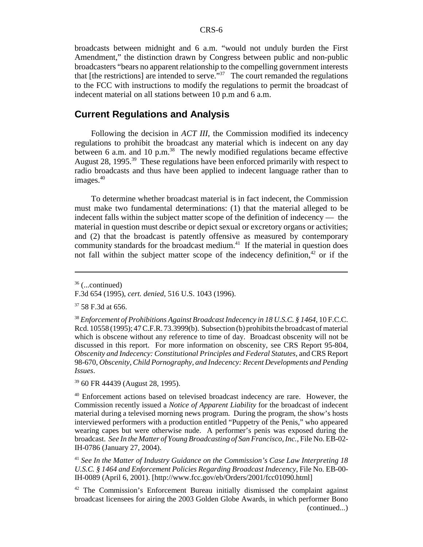broadcasts between midnight and 6 a.m. "would not unduly burden the First Amendment," the distinction drawn by Congress between public and non-public broadcasters "bears no apparent relationship to the compelling government interests that [the restrictions] are intended to serve. $\frac{37}{10}$  The court remanded the regulations to the FCC with instructions to modify the regulations to permit the broadcast of indecent material on all stations between 10 p.m and 6 a.m.

## **Current Regulations and Analysis**

Following the decision in *ACT III*, the Commission modified its indecency regulations to prohibit the broadcast any material which is indecent on any day between 6 a.m. and 10 p.m.<sup>38</sup> The newly modified regulations became effective August 28, 1995.<sup>39</sup> These regulations have been enforced primarily with respect to radio broadcasts and thus have been applied to indecent language rather than to images.40

To determine whether broadcast material is in fact indecent, the Commission must make two fundamental determinations: (1) that the material alleged to be indecent falls within the subject matter scope of the definition of indecency — the material in question must describe or depict sexual or excretory organs or activities; and (2) that the broadcast is patently offensive as measured by contemporary community standards for the broadcast medium. $41$  If the material in question does not fall within the subject matter scope of the indecency definition, $42$  or if the

39 60 FR 44439 (August 28, 1995).

<sup>36 (...</sup>continued)

F.3d 654 (1995), *cert. denied*, 516 U.S. 1043 (1996).

<sup>&</sup>lt;sup>37</sup> 58 F.3d at 656.

<sup>38</sup> *Enforcement of Prohibitions Against Broadcast Indecency in 18 U.S.C. § 1464*, 10 F.C.C. Rcd. 10558 (1995); 47 C.F.R. 73.3999(b). Subsection (b) prohibits the broadcast of material which is obscene without any reference to time of day. Broadcast obscenity will not be discussed in this report. For more information on obscenity, see CRS Report 95-804, *Obscenity and Indecency: Constitutional Principles and Federal Statutes*, and CRS Report 98-670, *Obscenity, Child Pornography, and Indecency: Recent Developments and Pending Issues*.

<sup>40</sup> Enforcement actions based on televised broadcast indecency are rare. However, the Commission recently issued a *Notice of Apparent Liability* for the broadcast of indecent material during a televised morning news program. During the program, the show's hosts interviewed performers with a production entitled "Puppetry of the Penis," who appeared wearing capes but were otherwise nude. A performer's penis was exposed during the broadcast. *See In the Matter of Young Broadcasting of San Francisco, Inc.*, File No. EB-02- IH-0786 (January 27, 2004).

<sup>41</sup> *See In the Matter of Industry Guidance on the Commission's Case Law Interpreting 18 U.S.C. § 1464 and Enforcement Policies Regarding Broadcast Indecency*, File No. EB-00- IH-0089 (April 6, 2001). [http://www.fcc.gov/eb/Orders/2001/fcc01090.html]

<sup>&</sup>lt;sup>42</sup> The Commission's Enforcement Bureau initially dismissed the complaint against broadcast licensees for airing the 2003 Golden Globe Awards, in which performer Bono (continued...)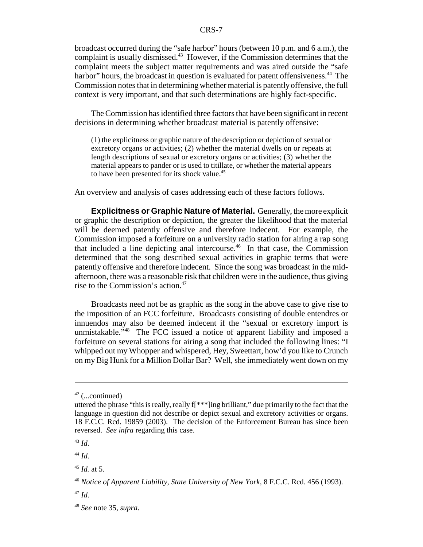broadcast occurred during the "safe harbor" hours (between 10 p.m. and 6 a.m.), the complaint is usually dismissed.<sup>43</sup> However, if the Commission determines that the complaint meets the subject matter requirements and was aired outside the "safe harbor" hours, the broadcast in question is evaluated for patent offensiveness.<sup>44</sup> The Commission notes that in determining whether material is patently offensive, the full context is very important, and that such determinations are highly fact-specific.

The Commission has identified three factors that have been significant in recent decisions in determining whether broadcast material is patently offensive:

(1) the explicitness or graphic nature of the description or depiction of sexual or excretory organs or activities; (2) whether the material dwells on or repeats at length descriptions of sexual or excretory organs or activities; (3) whether the material appears to pander or is used to titillate, or whether the material appears to have been presented for its shock value.<sup>45</sup>

An overview and analysis of cases addressing each of these factors follows.

**Explicitness or Graphic Nature of Material.** Generally, the more explicit or graphic the description or depiction, the greater the likelihood that the material will be deemed patently offensive and therefore indecent. For example, the Commission imposed a forfeiture on a university radio station for airing a rap song that included a line depicting anal intercourse.46 In that case, the Commission determined that the song described sexual activities in graphic terms that were patently offensive and therefore indecent. Since the song was broadcast in the midafternoon, there was a reasonable risk that children were in the audience, thus giving rise to the Commission's action.<sup>47</sup>

Broadcasts need not be as graphic as the song in the above case to give rise to the imposition of an FCC forfeiture. Broadcasts consisting of double entendres or innuendos may also be deemed indecent if the "sexual or excretory import is unmistakable."<sup>48</sup> The FCC issued a notice of apparent liability and imposed a forfeiture on several stations for airing a song that included the following lines: "I whipped out my Whopper and whispered, Hey, Sweettart, how'd you like to Crunch on my Big Hunk for a Million Dollar Bar? Well, she immediately went down on my

 $42$  (...continued)

uttered the phrase "this is really, really f[\*\*\*]ing brilliant," due primarily to the fact that the language in question did not describe or depict sexual and excretory activities or organs. 18 F.C.C. Rcd. 19859 (2003). The decision of the Enforcement Bureau has since been reversed. *See infra* regarding this case.

<sup>43</sup> *Id*.

<sup>44</sup> *Id*.

 $^{45}$  *Id.* at 5.

<sup>46</sup> *Notice of Apparent Liability, State University of New York*, 8 F.C.C. Rcd. 456 (1993).

<sup>47</sup> *Id*.

<sup>48</sup> *See* note 35, *supra*.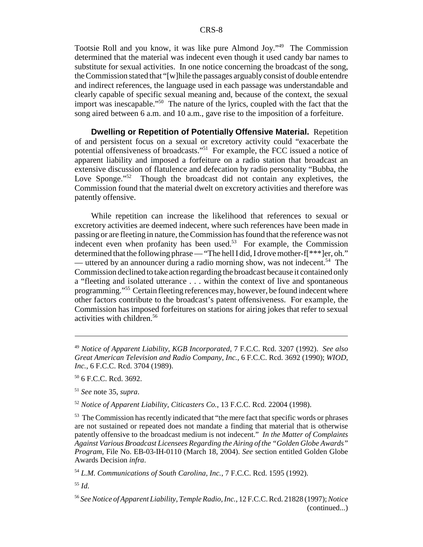Tootsie Roll and you know, it was like pure Almond Joy."49 The Commission determined that the material was indecent even though it used candy bar names to substitute for sexual activities. In one notice concerning the broadcast of the song, the Commission stated that "[w]hile the passages arguably consist of double entendre and indirect references, the language used in each passage was understandable and clearly capable of specific sexual meaning and, because of the context, the sexual import was inescapable."50 The nature of the lyrics, coupled with the fact that the song aired between 6 a.m. and 10 a.m., gave rise to the imposition of a forfeiture.

**Dwelling or Repetition of Potentially Offensive Material.** Repetition of and persistent focus on a sexual or excretory activity could "exacerbate the potential offensiveness of broadcasts."51 For example, the FCC issued a notice of apparent liability and imposed a forfeiture on a radio station that broadcast an extensive discussion of flatulence and defecation by radio personality "Bubba, the Love Sponge."<sup>52</sup> Though the broadcast did not contain any expletives, the Commission found that the material dwelt on excretory activities and therefore was patently offensive.

While repetition can increase the likelihood that references to sexual or excretory activities are deemed indecent, where such references have been made in passing or are fleeting in nature, the Commission has found that the reference was not indecent even when profanity has been used.<sup>53</sup> For example, the Commission determined that the following phrase — "The hell I did, I drove mother-f $[$ \*\*\* $]$ er, oh." — uttered by an announcer during a radio morning show, was not indecent.<sup>54</sup> The Commission declined to take action regarding the broadcast because it contained only a "fleeting and isolated utterance . . . within the context of live and spontaneous programming."55 Certain fleeting references may, however, be found indecent where other factors contribute to the broadcast's patent offensiveness. For example, the Commission has imposed forfeitures on stations for airing jokes that refer to sexual activities with children.56

<sup>52</sup> *Notice of Apparent Liability, Citicasters Co.*, 13 F.C.C. Rcd. 22004 (1998).

<sup>53</sup> The Commission has recently indicated that "the mere fact that specific words or phrases are not sustained or repeated does not mandate a finding that material that is otherwise patently offensive to the broadcast medium is not indecent." *In the Matter of Complaints Against Various Broadcast Licensees Regarding the Airing of the "Golden Globe Awards" Program*, File No. EB-03-IH-0110 (March 18, 2004). *See* section entitled Golden Globe Awards Decision *infra*.

<sup>54</sup> *L.M. Communications of South Carolina, Inc.*, 7 F.C.C. Rcd. 1595 (1992).

<sup>55</sup> *Id*.

<sup>49</sup> *Notice of Apparent Liability, KGB Incorporated*, 7 F.C.C. Rcd. 3207 (1992). *See also Great American Television and Radio Company, Inc.*, 6 F.C.C. Rcd. 3692 (1990); *WIOD, Inc.*, 6 F.C.C. Rcd. 3704 (1989).

<sup>50 6</sup> F.C.C. Rcd. 3692.

<sup>51</sup> *See* note 35, *supra*.

<sup>56</sup> *SeeNotice of Apparent Liability, Temple Radio, Inc.*, 12 F.C.C. Rcd. 21828 (1997); *Notice* (continued...)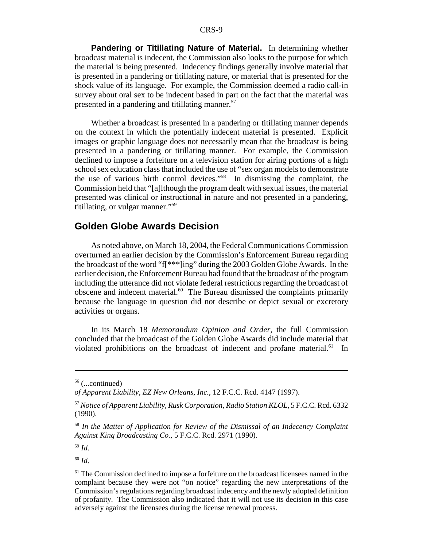**Pandering or Titillating Nature of Material.** In determining whether broadcast material is indecent, the Commission also looks to the purpose for which the material is being presented. Indecency findings generally involve material that is presented in a pandering or titillating nature, or material that is presented for the shock value of its language. For example, the Commission deemed a radio call-in survey about oral sex to be indecent based in part on the fact that the material was presented in a pandering and titillating manner.<sup>57</sup>

Whether a broadcast is presented in a pandering or titillating manner depends on the context in which the potentially indecent material is presented. Explicit images or graphic language does not necessarily mean that the broadcast is being presented in a pandering or titillating manner. For example, the Commission declined to impose a forfeiture on a television station for airing portions of a high school sex education class that included the use of "sex organ models to demonstrate the use of various birth control devices."58 In dismissing the complaint, the Commission held that "[a]lthough the program dealt with sexual issues, the material presented was clinical or instructional in nature and not presented in a pandering, titillating, or vulgar manner."59

# **Golden Globe Awards Decision**

As noted above, on March 18, 2004, the Federal Communications Commission overturned an earlier decision by the Commission's Enforcement Bureau regarding the broadcast of the word "f[\*\*\*]ing" during the 2003 Golden Globe Awards. In the earlier decision, the Enforcement Bureau had found that the broadcast of the program including the utterance did not violate federal restrictions regarding the broadcast of obscene and indecent material.<sup>60</sup> The Bureau dismissed the complaints primarily because the language in question did not describe or depict sexual or excretory activities or organs.

In its March 18 *Memorandum Opinion and Order*, the full Commission concluded that the broadcast of the Golden Globe Awards did include material that violated prohibitions on the broadcast of indecent and profane material. $61$  In

<sup>60</sup> *Id*.

 $56$  (...continued)

*of Apparent Liability, EZ New Orleans, Inc.*, 12 F.C.C. Rcd. 4147 (1997).

<sup>57</sup> *Notice of Apparent Liability, Rusk Corporation, Radio Station KLOL*, 5 F.C.C. Rcd. 6332 (1990).

<sup>58</sup> *In the Matter of Application for Review of the Dismissal of an Indecency Complaint Against King Broadcasting Co.*, 5 F.C.C. Rcd. 2971 (1990).

<sup>59</sup> *Id*.

<sup>&</sup>lt;sup>61</sup> The Commission declined to impose a forfeiture on the broadcast licensees named in the complaint because they were not "on notice" regarding the new interpretations of the Commission's regulations regarding broadcast indecency and the newly adopted definition of profanity. The Commission also indicated that it will not use its decision in this case adversely against the licensees during the license renewal process.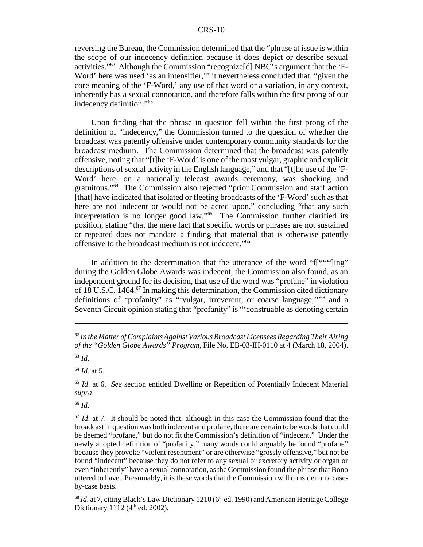reversing the Bureau, the Commission determined that the "phrase at issue is within the scope of our indecency definition because it does depict or describe sexual activities."62 Although the Commission "recognize[d] NBC's argument that the 'F-Word' here was used 'as an intensifier,'" it nevertheless concluded that, "given the core meaning of the 'F-Word,' any use of that word or a variation, in any context, inherently has a sexual connotation, and therefore falls within the first prong of our indecency definition."63

Upon finding that the phrase in question fell within the first prong of the definition of "indecency," the Commission turned to the question of whether the broadcast was patently offensive under contemporary community standards for the broadcast medium. The Commission determined that the broadcast was patently offensive, noting that "[t]he 'F-Word' is one of the most vulgar, graphic and explicit descriptions of sexual activity in the English language," and that "[t]he use of the 'F-Word' here, on a nationally telecast awards ceremony, was shocking and gratuitous."64 The Commission also rejected "prior Commission and staff action [that] have indicated that isolated or fleeting broadcasts of the 'F-Word' such as that here are not indecent or would not be acted upon," concluding "that any such interpretation is no longer good law."65 The Commission further clarified its position, stating "that the mere fact that specific words or phrases are not sustained or repeated does not mandate a finding that material that is otherwise patently offensive to the broadcast medium is not indecent."66

In addition to the determination that the utterance of the word " $f$ [\*\*\*]ing" during the Golden Globe Awards was indecent, the Commission also found, as an independent ground for its decision, that use of the word was "profane" in violation of 18 U.S.C. 1464.<sup>67</sup> In making this determination, the Commission cited dictionary definitions of "profanity" as "'vulgar, irreverent, or coarse language,"<sup>68</sup> and a Seventh Circuit opinion stating that "profanity" is "'construable as denoting certain

<sup>64</sup> *Id*. at 5.

<sup>65</sup> *Id*. at 6. *See* section entitled Dwelling or Repetition of Potentially Indecent Material *supra*.

<sup>66</sup> *Id*.

 $67$  *Id.* at 7. It should be noted that, although in this case the Commission found that the broadcast in question was both indecent and profane, there are certain to be words that could be deemed "profane," but do not fit the Commission's definition of "indecent." Under the newly adopted definition of "profanity," many words could arguably be found "profane" because they provoke "violent resentment" or are otherwise "grossly offensive," but not be found "indecent" because they do not refer to any sexual or excretory activity or organ or even "inherently" have a sexual connotation, as the Commission found the phrase that Bono uttered to have. Presumably, it is these words that the Commission will consider on a caseby-case basis.

 $68$  *Id.* at 7, citing Black's Law Dictionary 1210 ( $6<sup>th</sup>$  ed. 1990) and American Heritage College Dictionary 1112 ( $4^{\text{th}}$  ed. 2002).

<sup>62</sup> *In the Matter of Complaints Against Various Broadcast Licensees Regarding Their Airing of the "Golden Globe Awards" Program*, File No. EB-03-IH-0110 at 4 (March 18, 2004). <sup>63</sup> *Id*.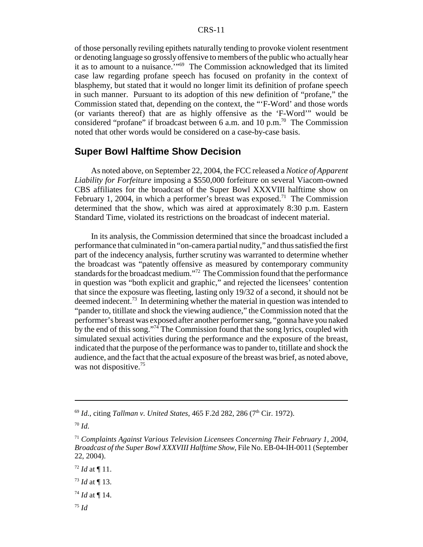of those personally reviling epithets naturally tending to provoke violent resentment or denoting language so grossly offensive to members of the public who actually hear it as to amount to a nuisance.'"69 The Commission acknowledged that its limited case law regarding profane speech has focused on profanity in the context of blasphemy, but stated that it would no longer limit its definition of profane speech in such manner. Pursuant to its adoption of this new definition of "profane," the Commission stated that, depending on the context, the "'F-Word' and those words (or variants thereof) that are as highly offensive as the 'F-Word'" would be considered "profane" if broadcast between 6 a.m. and 10 p.m.<sup>70</sup> The Commission noted that other words would be considered on a case-by-case basis.

# **Super Bowl Halftime Show Decision**

As noted above, on September 22, 2004, the FCC released a *Notice of Apparent Liability for Forfeiture* imposing a \$550,000 forfeiture on several Viacom-owned CBS affiliates for the broadcast of the Super Bowl XXXVIII halftime show on February 1, 2004, in which a performer's breast was exposed.<sup>71</sup> The Commission determined that the show, which was aired at approximately 8:30 p.m. Eastern Standard Time, violated its restrictions on the broadcast of indecent material.

In its analysis, the Commission determined that since the broadcast included a performance that culminated in "on-camera partial nudity," and thus satisfied the first part of the indecency analysis, further scrutiny was warranted to determine whether the broadcast was "patently offensive as measured by contemporary community standards for the broadcast medium."72 The Commission found that the performance in question was "both explicit and graphic," and rejected the licensees' contention that since the exposure was fleeting, lasting only 19/32 of a second, it should not be deemed indecent.<sup>73</sup> In determining whether the material in question was intended to "pander to, titillate and shock the viewing audience," the Commission noted that the performer's breast was exposed after another performer sang, "gonna have you naked by the end of this song."74 The Commission found that the song lyrics, coupled with simulated sexual activities during the performance and the exposure of the breast, indicated that the purpose of the performance was to pander to, titillate and shock the audience, and the fact that the actual exposure of the breast was brief, as noted above, was not dispositive.<sup>75</sup>

- <sup>73</sup> *Id* at ¶ 13.
- $^{74}$  *Id* at ¶ 14.
- <sup>75</sup> *Id*

<sup>&</sup>lt;sup>69</sup> *Id.*, citing *Tallman v. United States*, 465 F.2d 282, 286 (7<sup>th</sup> Cir. 1972).

<sup>70</sup> *Id*.

<sup>71</sup> *Complaints Against Various Television Licensees Concerning Their February 1, 2004, Broadcast of the Super Bowl XXXVIII Halftime Show*, File No. EB-04-IH-0011 (September 22, 2004).

 $72$  *Id* at ¶ 11.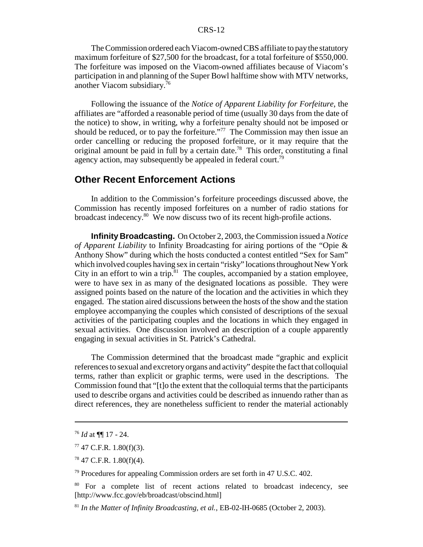The Commission ordered each Viacom-owned CBS affiliate to pay the statutory maximum forfeiture of \$27,500 for the broadcast, for a total forfeiture of \$550,000. The forfeiture was imposed on the Viacom-owned affiliates because of Viacom's participation in and planning of the Super Bowl halftime show with MTV networks, another Viacom subsidiary.76

Following the issuance of the *Notice of Apparent Liability for Forfeiture*, the affiliates are "afforded a reasonable period of time (usually 30 days from the date of the notice) to show, in writing, why a forfeiture penalty should not be imposed or should be reduced, or to pay the forfeiture."<sup>77</sup> The Commission may then issue an order cancelling or reducing the proposed forfeiture, or it may require that the original amount be paid in full by a certain date.<sup>78</sup> This order, constituting a final agency action, may subsequently be appealed in federal court.<sup>79</sup>

# **Other Recent Enforcement Actions**

In addition to the Commission's forfeiture proceedings discussed above, the Commission has recently imposed forfeitures on a number of radio stations for broadcast indecency.80 We now discuss two of its recent high-profile actions.

**Infinity Broadcasting.** On October 2, 2003, the Commission issued a *Notice of Apparent Liability* to Infinity Broadcasting for airing portions of the "Opie & Anthony Show" during which the hosts conducted a contest entitled "Sex for Sam" which involved couples having sex in certain "risky" locations throughout New York City in an effort to win a trip. $81$  The couples, accompanied by a station employee, were to have sex in as many of the designated locations as possible. They were assigned points based on the nature of the location and the activities in which they engaged. The station aired discussions between the hosts of the show and the station employee accompanying the couples which consisted of descriptions of the sexual activities of the participating couples and the locations in which they engaged in sexual activities. One discussion involved an description of a couple apparently engaging in sexual activities in St. Patrick's Cathedral.

The Commission determined that the broadcast made "graphic and explicit references to sexual and excretory organs and activity" despite the fact that colloquial terms, rather than explicit or graphic terms, were used in the descriptions. The Commission found that "[t]o the extent that the colloquial terms that the participants used to describe organs and activities could be described as innuendo rather than as direct references, they are nonetheless sufficient to render the material actionably

<sup>76</sup> *Id* at ¶¶ 17 - 24.

 $77$  47 C.F.R. 1.80(f)(3).

 $78$  47 C.F.R. 1.80(f)(4).

<sup>&</sup>lt;sup>79</sup> Procedures for appealing Commission orders are set forth in 47 U.S.C. 402.

<sup>&</sup>lt;sup>80</sup> For a complete list of recent actions related to broadcast indecency, see [http://www.fcc.gov/eb/broadcast/obscind.html]

<sup>81</sup> *In the Matter of Infinity Broadcasting, et al.*, EB-02-IH-0685 (October 2, 2003).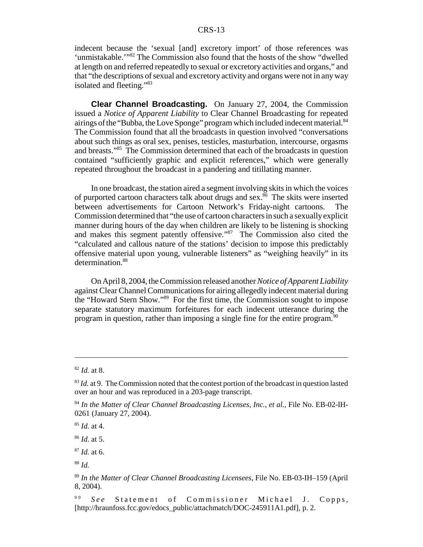indecent because the 'sexual [and] excretory import' of those references was 'unmistakable.'"82 The Commission also found that the hosts of the show "dwelled at length on and referred repeatedly to sexual or excretory activities and organs," and that "the descriptions of sexual and excretory activity and organs were not in any way isolated and fleeting."<sup>83</sup>

**Clear Channel Broadcasting.** On January 27, 2004, the Commission issued a *Notice of Apparent Liability* to Clear Channel Broadcasting for repeated airings of the "Bubba, the Love Sponge" program which included indecent material. $84$ The Commission found that all the broadcasts in question involved "conversations about such things as oral sex, penises, testicles, masturbation, intercourse, orgasms and breasts."85 The Commission determined that each of the broadcasts in question contained "sufficiently graphic and explicit references," which were generally repeated throughout the broadcast in a pandering and titillating manner.

In one broadcast, the station aired a segment involving skits in which the voices of purported cartoon characters talk about drugs and sex.<sup>86</sup> The skits were inserted between advertisements for Cartoon Network's Friday-night cartoons. The Commission determined that "the use of cartoon characters in such a sexually explicit manner during hours of the day when children are likely to be listening is shocking and makes this segment patently offensive."87 The Commission also cited the "calculated and callous nature of the stations' decision to impose this predictably offensive material upon young, vulnerable listeners" as "weighing heavily" in its determination.<sup>88</sup>

On April 8, 2004, the Commission released another *Notice of Apparent Liability* against Clear Channel Communications for airing allegedly indecent material during the "Howard Stern Show."89 For the first time, the Commission sought to impose separate statutory maximum forfeitures for each indecent utterance during the program in question, rather than imposing a single fine for the entire program.90

<sup>85</sup> *Id.* at 4.

<sup>86</sup> *Id*. at 5.

<sup>87</sup> *Id.* at 6.

<sup>82</sup> *Id.* at 8.

<sup>&</sup>lt;sup>83</sup> *Id.* at 9. The Commission noted that the contest portion of the broadcast in question lasted over an hour and was reproduced in a 203-page transcript.

<sup>84</sup> *In the Matter of Clear Channel Broadcasting Licenses, Inc., et al.*, File No. EB-02-IH-0261 (January 27, 2004).

<sup>88</sup> *Id.*

<sup>89</sup> *In the Matter of Clear Channel Broadcasting Licensees*, File No. EB-03-IH–159 (April 8, 2004).

<sup>&</sup>lt;sup>90</sup> *See* Statement of Commissioner Michael J. Copps, [http://hraunfoss.fcc.gov/edocs\_public/attachmatch/DOC-245911A1.pdf], p. 2.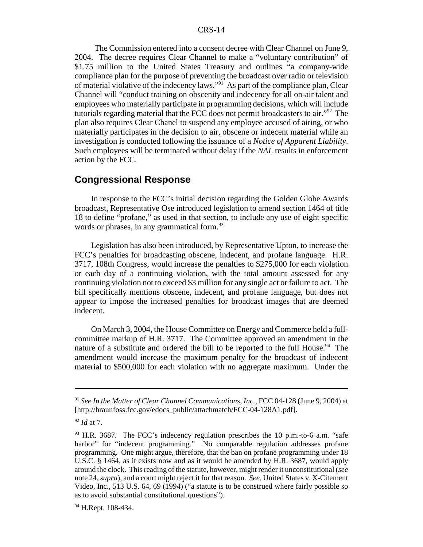The Commission entered into a consent decree with Clear Channel on June 9, 2004. The decree requires Clear Channel to make a "voluntary contribution" of \$1.75 million to the United States Treasury and outlines "a company-wide compliance plan for the purpose of preventing the broadcast over radio or television of material violative of the indecency laws."<sup>91</sup> As part of the compliance plan, Clear Channel will "conduct training on obscenity and indecency for all on-air talent and employees who materially participate in programming decisions, which will include tutorials regarding material that the FCC does not permit broadcasters to air."<sup>92</sup> The plan also requires Clear Chanel to suspend any employee accused of airing, or who materially participates in the decision to air, obscene or indecent material while an investigation is conducted following the issuance of a *Notice of Apparent Liability*. Such employees will be terminated without delay if the *NAL* results in enforcement action by the FCC.

# **Congressional Response**

In response to the FCC's initial decision regarding the Golden Globe Awards broadcast, Representative Ose introduced legislation to amend section 1464 of title 18 to define "profane," as used in that section, to include any use of eight specific words or phrases, in any grammatical form.<sup>93</sup>

Legislation has also been introduced, by Representative Upton, to increase the FCC's penalties for broadcasting obscene, indecent, and profane language. H.R. 3717, 108th Congress, would increase the penalties to \$275,000 for each violation or each day of a continuing violation, with the total amount assessed for any continuing violation not to exceed \$3 million for any single act or failure to act. The bill specifically mentions obscene, indecent, and profane language, but does not appear to impose the increased penalties for broadcast images that are deemed indecent.

On March 3, 2004, the House Committee on Energy and Commerce held a fullcommittee markup of H.R. 3717. The Committee approved an amendment in the nature of a substitute and ordered the bill to be reported to the full House.<sup>94</sup> The amendment would increase the maximum penalty for the broadcast of indecent material to \$500,000 for each violation with no aggregate maximum. Under the

<sup>91</sup> *See In the Matter of Clear Channel Communications, Inc.*, FCC 04-128 (June 9, 2004) at [http://hraunfoss.fcc.gov/edocs\_public/attachmatch/FCC-04-128A1.pdf].

<sup>92</sup> *Id* at 7.

 $93$  H.R. 3687. The FCC's indecency regulation prescribes the 10 p.m.-to-6 a.m. "safe harbor" for "indecent programming." No comparable regulation addresses profane programming. One might argue, therefore, that the ban on profane programming under 18 U.S.C. § 1464, as it exists now and as it would be amended by H.R. 3687, would apply around the clock. This reading of the statute, however, might render it unconstitutional (*see* note 24, *supra*), and a court might reject it for that reason. *See*, United States v. X-Citement Video, Inc., 513 U.S. 64, 69 (1994) ("a statute is to be construed where fairly possible so as to avoid substantial constitutional questions").

<sup>&</sup>lt;sup>94</sup> H.Rept. 108-434.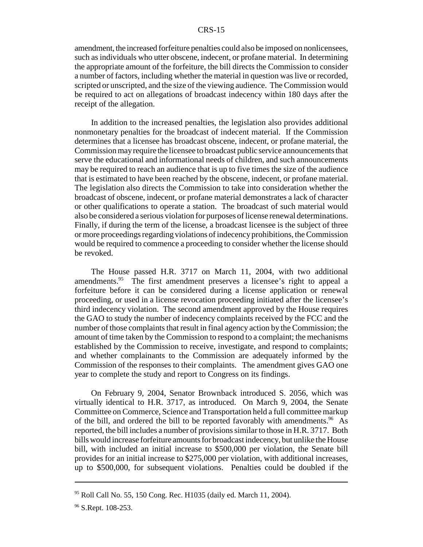amendment, the increased forfeiture penalties could also be imposed on nonlicensees, such as individuals who utter obscene, indecent, or profane material. In determining the appropriate amount of the forfeiture, the bill directs the Commission to consider a number of factors, including whether the material in question was live or recorded, scripted or unscripted, and the size of the viewing audience. The Commission would be required to act on allegations of broadcast indecency within 180 days after the receipt of the allegation.

In addition to the increased penalties, the legislation also provides additional nonmonetary penalties for the broadcast of indecent material. If the Commission determines that a licensee has broadcast obscene, indecent, or profane material, the Commission may require the licensee to broadcast public service announcements that serve the educational and informational needs of children, and such announcements may be required to reach an audience that is up to five times the size of the audience that is estimated to have been reached by the obscene, indecent, or profane material. The legislation also directs the Commission to take into consideration whether the broadcast of obscene, indecent, or profane material demonstrates a lack of character or other qualifications to operate a station. The broadcast of such material would also be considered a serious violation for purposes of license renewal determinations. Finally, if during the term of the license, a broadcast licensee is the subject of three or more proceedings regarding violations of indecency prohibitions, the Commission would be required to commence a proceeding to consider whether the license should be revoked.

The House passed H.R. 3717 on March 11, 2004, with two additional amendments.<sup>95</sup> The first amendment preserves a licensee's right to appeal a forfeiture before it can be considered during a license application or renewal proceeding, or used in a license revocation proceeding initiated after the licensee's third indecency violation. The second amendment approved by the House requires the GAO to study the number of indecency complaints received by the FCC and the number of those complaints that result in final agency action by the Commission; the amount of time taken by the Commission to respond to a complaint; the mechanisms established by the Commission to receive, investigate, and respond to complaints; and whether complainants to the Commission are adequately informed by the Commission of the responses to their complaints. The amendment gives GAO one year to complete the study and report to Congress on its findings.

On February 9, 2004, Senator Brownback introduced S. 2056, which was virtually identical to H.R. 3717, as introduced. On March 9, 2004, the Senate Committee on Commerce, Science and Transportation held a full committee markup of the bill, and ordered the bill to be reported favorably with amendments.<sup>96</sup> As reported, the bill includes a number of provisions similar to those in H.R. 3717. Both bills would increase forfeiture amounts for broadcast indecency, but unlike the House bill, with included an initial increase to \$500,000 per violation, the Senate bill provides for an initial increase to \$275,000 per violation, with additional increases, up to \$500,000, for subsequent violations. Penalties could be doubled if the

 $95$  Roll Call No. 55, 150 Cong. Rec. H1035 (daily ed. March 11, 2004).

<sup>&</sup>lt;sup>96</sup> S.Rept. 108-253.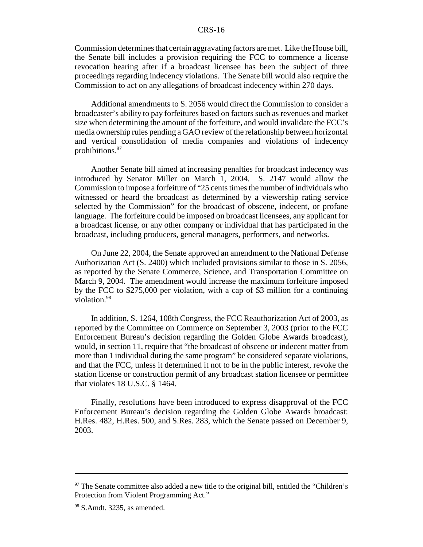Commission determines that certain aggravating factors are met. Like the House bill, the Senate bill includes a provision requiring the FCC to commence a license revocation hearing after if a broadcast licensee has been the subject of three proceedings regarding indecency violations. The Senate bill would also require the Commission to act on any allegations of broadcast indecency within 270 days.

Additional amendments to S. 2056 would direct the Commission to consider a broadcaster's ability to pay forfeitures based on factors such as revenues and market size when determining the amount of the forfeiture, and would invalidate the FCC's media ownership rules pending a GAO review of the relationship between horizontal and vertical consolidation of media companies and violations of indecency prohibitions.97

Another Senate bill aimed at increasing penalties for broadcast indecency was introduced by Senator Miller on March 1, 2004. S. 2147 would allow the Commission to impose a forfeiture of "25 cents times the number of individuals who witnessed or heard the broadcast as determined by a viewership rating service selected by the Commission" for the broadcast of obscene, indecent, or profane language. The forfeiture could be imposed on broadcast licensees, any applicant for a broadcast license, or any other company or individual that has participated in the broadcast, including producers, general managers, performers, and networks.

On June 22, 2004, the Senate approved an amendment to the National Defense Authorization Act (S. 2400) which included provisions similar to those in S. 2056, as reported by the Senate Commerce, Science, and Transportation Committee on March 9, 2004. The amendment would increase the maximum forfeiture imposed by the FCC to \$275,000 per violation, with a cap of \$3 million for a continuing violation.<sup>98</sup>

In addition, S. 1264, 108th Congress, the FCC Reauthorization Act of 2003, as reported by the Committee on Commerce on September 3, 2003 (prior to the FCC Enforcement Bureau's decision regarding the Golden Globe Awards broadcast), would, in section 11, require that "the broadcast of obscene or indecent matter from more than 1 individual during the same program" be considered separate violations, and that the FCC, unless it determined it not to be in the public interest, revoke the station license or construction permit of any broadcast station licensee or permittee that violates 18 U.S.C. § 1464.

Finally, resolutions have been introduced to express disapproval of the FCC Enforcement Bureau's decision regarding the Golden Globe Awards broadcast: H.Res. 482, H.Res. 500, and S.Res. 283, which the Senate passed on December 9, 2003.

 $97$  The Senate committee also added a new title to the original bill, entitled the "Children's Protection from Violent Programming Act."

 $98$  S.Amdt. 3235, as amended.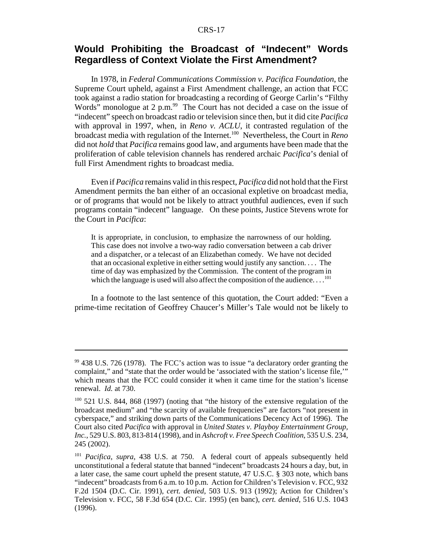# **Would Prohibiting the Broadcast of "Indecent" Words Regardless of Context Violate the First Amendment?**

In 1978, in *Federal Communications Commission v. Pacifica Foundation*, the Supreme Court upheld, against a First Amendment challenge, an action that FCC took against a radio station for broadcasting a recording of George Carlin's "Filthy Words" monologue at 2 p.m. $^{99}$  The Court has not decided a case on the issue of "indecent" speech on broadcast radio or television since then, but it did cite *Pacifica* with approval in 1997, when, in *Reno v. ACLU*, it contrasted regulation of the broadcast media with regulation of the Internet.100 Nevertheless, the Court in *Reno* did not *hold* that *Pacifica* remains good law, and arguments have been made that the proliferation of cable television channels has rendered archaic *Pacifica*'s denial of full First Amendment rights to broadcast media.

Even if *Pacifica* remains valid in this respect, *Pacifica* did not hold that the First Amendment permits the ban either of an occasional expletive on broadcast media, or of programs that would not be likely to attract youthful audiences, even if such programs contain "indecent" language. On these points, Justice Stevens wrote for the Court in *Pacifica*:

It is appropriate, in conclusion, to emphasize the narrowness of our holding. This case does not involve a two-way radio conversation between a cab driver and a dispatcher, or a telecast of an Elizabethan comedy. We have not decided that an occasional expletive in either setting would justify any sanction. . . . The time of day was emphasized by the Commission. The content of the program in which the language is used will also affect the composition of the audience. . . .<sup>101</sup>

In a footnote to the last sentence of this quotation, the Court added: "Even a prime-time recitation of Geoffrey Chaucer's Miller's Tale would not be likely to

 $99$  438 U.S. 726 (1978). The FCC's action was to issue "a declaratory order granting the complaint," and "state that the order would be 'associated with the station's license file,'" which means that the FCC could consider it when it came time for the station's license renewal. *Id.* at 730.

<sup>&</sup>lt;sup>100</sup> 521 U.S. 844, 868 (1997) (noting that "the history of the extensive regulation of the broadcast medium" and "the scarcity of available frequencies" are factors "not present in cyberspace," and striking down parts of the Communications Decency Act of 1996). The Court also cited *Pacifica* with approval in *United States v. Playboy Entertainment Group, Inc.*, 529 U.S. 803, 813-814 (1998), and in *Ashcroft v. Free Speech Coalition*, 535 U.S. 234, 245 (2002).

<sup>101</sup> *Pacifica*, *supra*, 438 U.S. at 750. A federal court of appeals subsequently held unconstitutional a federal statute that banned "indecent" broadcasts 24 hours a day, but, in a later case, the same court upheld the present statute, 47 U.S.C. § 303 note, which bans "indecent" broadcasts from 6 a.m. to 10 p.m. Action for Children's Television v. FCC, 932 F.2d 1504 (D.C. Cir. 1991), *cert. denied*, 503 U.S. 913 (1992); Action for Children's Television v. FCC, 58 F.3d 654 (D.C. Cir. 1995) (en banc), *cert. denied*, 516 U.S. 1043 (1996).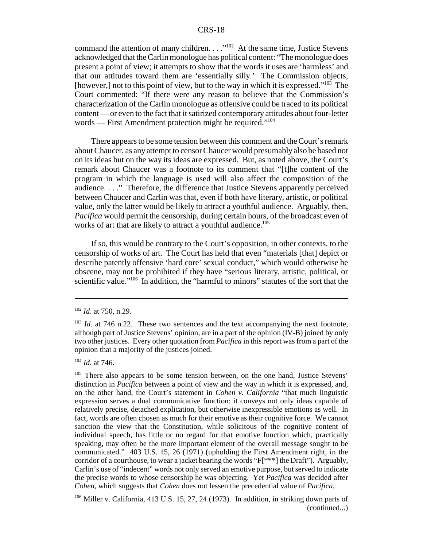command the attention of many children.  $\dots$ <sup>102</sup> At the same time, Justice Stevens acknowledged that the Carlin monologue has political content: "The monologue does present a point of view; it attempts to show that the words it uses are 'harmless' and that our attitudes toward them are 'essentially silly.' The Commission objects, [however,] not to this point of view, but to the way in which it is expressed."<sup>103</sup> The Court commented: "If there were any reason to believe that the Commission's characterization of the Carlin monologue as offensive could be traced to its political content — or even to the fact that it satirized contemporary attitudes about four-letter words — First Amendment protection might be required."<sup>104</sup>

There appears to be some tension between this comment and the Court's remark about Chaucer, as any attempt to censor Chaucer would presumably also be based not on its ideas but on the way its ideas are expressed. But, as noted above, the Court's remark about Chaucer was a footnote to its comment that "[t]he content of the program in which the language is used will also affect the composition of the audience. . . ." Therefore, the difference that Justice Stevens apparently perceived between Chaucer and Carlin was that, even if both have literary, artistic, or political value, only the latter would be likely to attract a youthful audience. Arguably, then, *Pacifica* would permit the censorship, during certain hours, of the broadcast even of works of art that are likely to attract a youthful audience.<sup>105</sup>

If so, this would be contrary to the Court's opposition, in other contexts, to the censorship of works of art. The Court has held that even "materials [that] depict or describe patently offensive 'hard core' sexual conduct," which would otherwise be obscene, may not be prohibited if they have "serious literary, artistic, political, or scientific value."<sup>106</sup> In addition, the "harmful to minors" statutes of the sort that the

<sup>104</sup> *Id*. at 746.

<sup>102</sup> *Id*. at 750, n.29.

<sup>&</sup>lt;sup>103</sup> *Id.* at 746 n.22. These two sentences and the text accompanying the next footnote, although part of Justice Stevens' opinion, are in a part of the opinion (IV-B) joined by only two other justices. Every other quotation from *Pacifica* in this report was from a part of the opinion that a majority of the justices joined.

<sup>&</sup>lt;sup>105</sup> There also appears to be some tension between, on the one hand, Justice Stevens' distinction in *Pacifica* between a point of view and the way in which it is expressed, and, on the other hand, the Court's statement in *Cohen v. California* "that much linguistic expression serves a dual communicative function: it conveys not only ideas capable of relatively precise, detached explication, but otherwise inexpressible emotions as well. In fact, words are often chosen as much for their emotive as their cognitive force. We cannot sanction the view that the Constitution, while solicitous of the cognitive content of individual speech, has little or no regard for that emotive function which, practically speaking, may often be the more important element of the overall message sought to be communicated." 403 U.S. 15, 26 (1971) (upholding the First Amendment right, in the corridor of a courthouse, to wear a jacket bearing the words "F[\*\*\*] the Draft"). Arguably, Carlin's use of "indecent" words not only served an emotive purpose, but served to indicate the precise words to whose censorship he was objecting. Yet *Pacifica* was decided after *Cohen*, which suggests that *Cohen* does not lessen the precedential value of *Pacifica.*

<sup>106</sup> Miller v. California, 413 U.S. 15, 27, 24 (1973). In addition, in striking down parts of (continued...)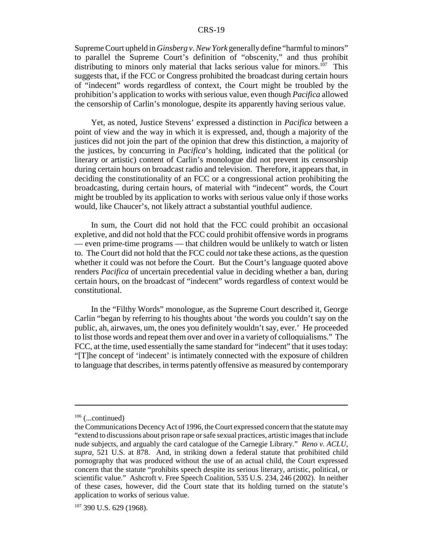Supreme Court upheld in *Ginsberg v. New York* generally define "harmful to minors" to parallel the Supreme Court's definition of "obscenity," and thus prohibit distributing to minors only material that lacks serious value for minors.<sup>107</sup> This suggests that, if the FCC or Congress prohibited the broadcast during certain hours of "indecent" words regardless of context, the Court might be troubled by the prohibition's application to works with serious value, even though *Pacifica* allowed the censorship of Carlin's monologue, despite its apparently having serious value.

Yet, as noted, Justice Stevens' expressed a distinction in *Pacifica* between a point of view and the way in which it is expressed, and, though a majority of the justices did not join the part of the opinion that drew this distinction, a majority of the justices, by concurring in *Pacifica*'s holding, indicated that the political (or literary or artistic) content of Carlin's monologue did not prevent its censorship during certain hours on broadcast radio and television. Therefore, it appears that, in deciding the constitutionality of an FCC or a congressional action prohibiting the broadcasting, during certain hours, of material with "indecent" words, the Court might be troubled by its application to works with serious value only if those works would, like Chaucer's, not likely attract a substantial youthful audience.

In sum, the Court did not hold that the FCC could prohibit an occasional expletive, and did not hold that the FCC could prohibit offensive words in programs — even prime-time programs — that children would be unlikely to watch or listen to. The Court did not hold that the FCC could *not* take these actions, as the question whether it could was not before the Court. But the Court's language quoted above renders *Pacifica* of uncertain precedential value in deciding whether a ban, during certain hours, on the broadcast of "indecent" words regardless of context would be constitutional.

In the "Filthy Words" monologue, as the Supreme Court described it, George Carlin "began by referring to his thoughts about 'the words you couldn't say on the public, ah, airwaves, um, the ones you definitely wouldn't say, ever.' He proceeded to list those words and repeat them over and over in a variety of colloquialisms." The FCC, at the time, used essentially the same standard for "indecent" that it uses today: "[T]he concept of 'indecent' is intimately connected with the exposure of children to language that describes, in terms patently offensive as measured by contemporary

 $106$  (...continued)

the Communications Decency Act of 1996, the Court expressed concern that the statute may "extend to discussions about prison rape or safe sexual practices, artistic images that include nude subjects, and arguably the card catalogue of the Carnegie Library." *Reno v. ACLU, supra*, 521 U.S. at 878. And, in striking down a federal statute that prohibited child pornography that was produced without the use of an actual child, the Court expressed concern that the statute "prohibits speech despite its serious literary, artistic, political, or scientific value." Ashcroft v. Free Speech Coalition, 535 U.S. 234, 246 (2002). In neither of these cases, however, did the Court state that its holding turned on the statute's application to works of serious value.

 $107$  390 U.S. 629 (1968).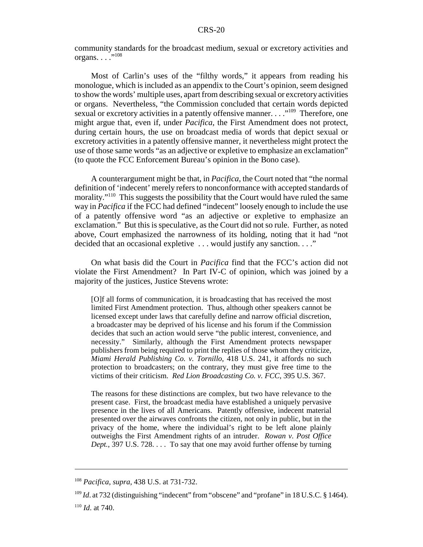community standards for the broadcast medium, sexual or excretory activities and organs.  $\ldots$  ...<sup>108</sup>

Most of Carlin's uses of the "filthy words," it appears from reading his monologue, which is included as an appendix to the Court's opinion, seem designed to show the words' multiple uses, apart from describing sexual or excretory activities or organs. Nevertheless, "the Commission concluded that certain words depicted sexual or excretory activities in a patently offensive manner. . . . .<sup>109</sup> Therefore, one might argue that, even if, under *Pacifica*, the First Amendment does not protect, during certain hours, the use on broadcast media of words that depict sexual or excretory activities in a patently offensive manner, it nevertheless might protect the use of those same words "as an adjective or expletive to emphasize an exclamation" (to quote the FCC Enforcement Bureau's opinion in the Bono case).

A counterargument might be that, in *Pacifica*, the Court noted that "the normal definition of 'indecent' merely refers to nonconformance with accepted standards of morality."<sup>110</sup> This suggests the possibility that the Court would have ruled the same way in *Pacifica* if the FCC had defined "indecent" loosely enough to include the use of a patently offensive word "as an adjective or expletive to emphasize an exclamation." But this is speculative, as the Court did not so rule. Further, as noted above, Court emphasized the narrowness of its holding, noting that it had "not decided that an occasional expletive . . . would justify any sanction. . . ."

On what basis did the Court in *Pacifica* find that the FCC's action did not violate the First Amendment? In Part IV-C of opinion, which was joined by a majority of the justices, Justice Stevens wrote:

[O]f all forms of communication, it is broadcasting that has received the most limited First Amendment protection. Thus, although other speakers cannot be licensed except under laws that carefully define and narrow official discretion, a broadcaster may be deprived of his license and his forum if the Commission decides that such an action would serve "the public interest, convenience, and necessity." Similarly, although the First Amendment protects newspaper publishers from being required to print the replies of those whom they criticize, *Miami Herald Publishing Co. v. Tornillo*, 418 U.S. 241, it affords no such protection to broadcasters; on the contrary, they must give free time to the victims of their criticism. *Red Lion Broadcasting Co. v. FCC*, 395 U.S. 367.

The reasons for these distinctions are complex, but two have relevance to the present case. First, the broadcast media have established a uniquely pervasive presence in the lives of all Americans. Patently offensive, indecent material presented over the airwaves confronts the citizen, not only in public, but in the privacy of the home, where the individual's right to be left alone plainly outweighs the First Amendment rights of an intruder. *Rowan v. Post Office Dept.*, 397 U.S. 728. . . . To say that one may avoid further offense by turning

<sup>108</sup> *Pacifica*, *supra*, 438 U.S. at 731-732.

<sup>&</sup>lt;sup>109</sup> *Id.* at 732 (distinguishing "indecent" from "obscene" and "profane" in 18 U.S.C. § 1464).

<sup>110</sup> *Id*. at 740.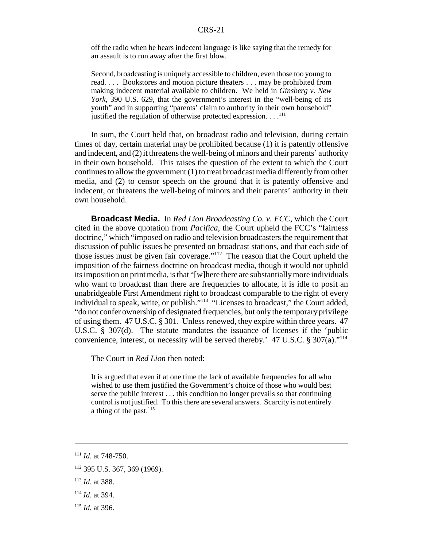off the radio when he hears indecent language is like saying that the remedy for an assault is to run away after the first blow.

Second, broadcasting is uniquely accessible to children, even those too young to read. . . . Bookstores and motion picture theaters . . . may be prohibited from making indecent material available to children. We held in *Ginsberg v. New York*, 390 U.S. 629, that the government's interest in the "well-being of its youth" and in supporting "parents' claim to authority in their own household" justified the regulation of otherwise protected expression.  $\dots$ <sup>111</sup>

In sum, the Court held that, on broadcast radio and television, during certain times of day, certain material may be prohibited because (1) it is patently offensive and indecent, and (2) it threatens the well-being of minors and their parents' authority in their own household. This raises the question of the extent to which the Court continues to allow the government (1) to treat broadcast media differently from other media, and (2) to censor speech on the ground that it is patently offensive and indecent, or threatens the well-being of minors and their parents' authority in their own household.

**Broadcast Media.** In *Red Lion Broadcasting Co. v. FCC*, which the Court cited in the above quotation from *Pacifica*, the Court upheld the FCC's "fairness doctrine," which "imposed on radio and television broadcasters the requirement that discussion of public issues be presented on broadcast stations, and that each side of those issues must be given fair coverage."112 The reason that the Court upheld the imposition of the fairness doctrine on broadcast media, though it would not uphold its imposition on print media, is that "[w]here there are substantially more individuals who want to broadcast than there are frequencies to allocate, it is idle to posit an unabridgeable First Amendment right to broadcast comparable to the right of every individual to speak, write, or publish."113 "Licenses to broadcast," the Court added, "do not confer ownership of designated frequencies, but only the temporary privilege of using them. 47 U.S.C. § 301. Unless renewed, they expire within three years. 47 U.S.C. § 307(d). The statute mandates the issuance of licenses if the 'public convenience, interest, or necessity will be served thereby.'  $47 \text{ U.S.C.}$  §  $307(a)$ ."<sup>114</sup>

The Court in *Red Lion* then noted:

It is argued that even if at one time the lack of available frequencies for all who wished to use them justified the Government's choice of those who would best serve the public interest . . . this condition no longer prevails so that continuing control is not justified. To this there are several answers. Scarcity is not entirely a thing of the past. $^{115}$ 

- <sup>114</sup> *Id*. at 394.
- <sup>115</sup> *Id.* at 396.

<sup>111</sup> *Id*. at 748-750.

<sup>112 395</sup> U.S. 367, 369 (1969).

<sup>113</sup> *Id*. at 388.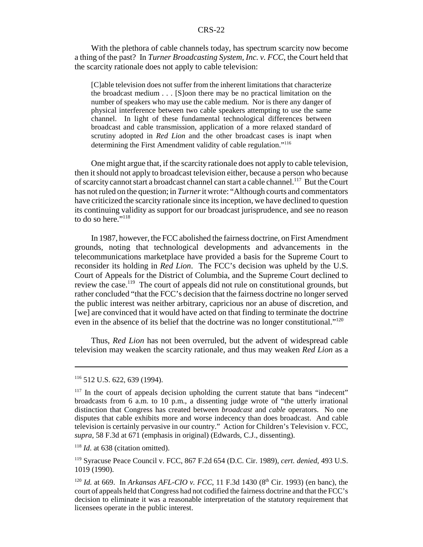With the plethora of cable channels today, has spectrum scarcity now become a thing of the past? In *Turner Broadcasting System, Inc. v. FCC*, the Court held that the scarcity rationale does not apply to cable television:

[C]able television does not suffer from the inherent limitations that characterize the broadcast medium . . . [S]oon there may be no practical limitation on the number of speakers who may use the cable medium. Nor is there any danger of physical interference between two cable speakers attempting to use the same channel. In light of these fundamental technological differences between broadcast and cable transmission, application of a more relaxed standard of scrutiny adopted in *Red Lion* and the other broadcast cases is inapt when determining the First Amendment validity of cable regulation."116

One might argue that, if the scarcity rationale does not apply to cable television, then it should not apply to broadcast television either, because a person who because of scarcity cannot start a broadcast channel can start a cable channel.<sup>117</sup> But the Court has not ruled on the question; in *Turner* it wrote: "Although courts and commentators have criticized the scarcity rationale since its inception, we have declined to question its continuing validity as support for our broadcast jurisprudence, and see no reason to do so here."<sup>118</sup>

In 1987, however, the FCC abolished the fairness doctrine, on First Amendment grounds, noting that technological developments and advancements in the telecommunications marketplace have provided a basis for the Supreme Court to reconsider its holding in *Red Lion*. The FCC's decision was upheld by the U.S. Court of Appeals for the District of Columbia, and the Supreme Court declined to review the case.<sup>119</sup> The court of appeals did not rule on constitutional grounds, but rather concluded "that the FCC's decision that the fairness doctrine no longer served the public interest was neither arbitrary, capricious nor an abuse of discretion, and [we] are convinced that it would have acted on that finding to terminate the doctrine even in the absence of its belief that the doctrine was no longer constitutional."<sup>120</sup>

Thus, *Red Lion* has not been overruled, but the advent of widespread cable television may weaken the scarcity rationale, and thus may weaken *Red Lion* as a

<sup>116 512</sup> U.S. 622, 639 (1994).

 $117$  In the court of appeals decision upholding the current statute that bans "indecent" broadcasts from 6 a.m. to 10 p.m., a dissenting judge wrote of "the utterly irrational distinction that Congress has created between *broadcast* and *cable* operators. No one disputes that cable exhibits more and worse indecency than does broadcast. And cable television is certainly pervasive in our country." Action for Children's Television v. FCC, *supra*, 58 F.3d at 671 (emphasis in original) (Edwards, C.J., dissenting).

<sup>&</sup>lt;sup>118</sup> *Id.* at 638 (citation omitted).

<sup>119</sup> Syracuse Peace Council v. FCC, 867 F.2d 654 (D.C. Cir. 1989), *cert. denied*, 493 U.S. 1019 (1990).

<sup>&</sup>lt;sup>120</sup> *Id.* at 669. In *Arkansas AFL-CIO v. FCC*, 11 F.3d 1430 (8<sup>th</sup> Cir. 1993) (en banc), the court of appeals held that Congress had not codified the fairness doctrine and that the FCC's decision to eliminate it was a reasonable interpretation of the statutory requirement that licensees operate in the public interest.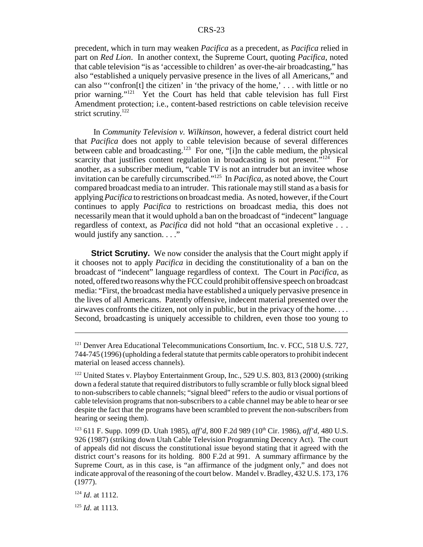precedent, which in turn may weaken *Pacifica* as a precedent, as *Pacifica* relied in part on *Red Lion*. In another context, the Supreme Court, quoting *Pacifica*, noted that cable television "is as 'accessible to children' as over-the-air broadcasting," has also "established a uniquely pervasive presence in the lives of all Americans," and can also "'confron[t] the citizen' in 'the privacy of the home,' . . . with little or no prior warning."121 Yet the Court has held that cable television has full First Amendment protection; i.e., content-based restrictions on cable television receive strict scrutiny.<sup>122</sup>

 In *Community Television v. Wilkinson*, however, a federal district court held that *Pacifica* does not apply to cable television because of several differences between cable and broadcasting.<sup>123</sup> For one, "[i]n the cable medium, the physical scarcity that justifies content regulation in broadcasting is not present."<sup>124</sup> For another, as a subscriber medium, "cable TV is not an intruder but an invitee whose invitation can be carefully circumscribed."125 In *Pacifica*, as noted above, the Court compared broadcast media to an intruder. This rationale may still stand as a basis for applying *Pacifica* to restrictions on broadcast media. As noted, however, if the Court continues to apply *Pacifica* to restrictions on broadcast media, this does not necessarily mean that it would uphold a ban on the broadcast of "indecent" language regardless of context, as *Pacifica* did not hold "that an occasional expletive . . . would justify any sanction. . . ."

**Strict Scrutiny.** We now consider the analysis that the Court might apply if it chooses not to apply *Pacifica* in deciding the constitutionality of a ban on the broadcast of "indecent" language regardless of context. The Court in *Pacifica*, as noted, offered two reasons why the FCC could prohibit offensive speech on broadcast media: "First, the broadcast media have established a uniquely pervasive presence in the lives of all Americans. Patently offensive, indecent material presented over the airwaves confronts the citizen, not only in public, but in the privacy of the home. . . . Second, broadcasting is uniquely accessible to children, even those too young to

<sup>125</sup> *Id*. at 1113.

<sup>&</sup>lt;sup>121</sup> Denver Area Educational Telecommunications Consortium, Inc. v. FCC, 518 U.S. 727, 744-745 (1996) (upholding a federal statute that permits cable operators to prohibit indecent material on leased access channels).

<sup>&</sup>lt;sup>122</sup> United States v. Playboy Entertainment Group, Inc., 529 U.S. 803, 813 (2000) (striking down a federal statute that required distributors to fully scramble or fully block signal bleed to non-subscribers to cable channels; "signal bleed" refers to the audio or visual portions of cable television programs that non-subscribers to a cable channel may be able to hear or see despite the fact that the programs have been scrambled to prevent the non-subscribers from hearing or seeing them).

<sup>&</sup>lt;sup>123</sup> 611 F. Supp. 1099 (D. Utah 1985), *aff'd*, 800 F.2d 989 (10<sup>th</sup> Cir. 1986), *aff'd*, 480 U.S. 926 (1987) (striking down Utah Cable Television Programming Decency Act). The court of appeals did not discuss the constitutional issue beyond stating that it agreed with the district court's reasons for its holding. 800 F.2d at 991. A summary affirmance by the Supreme Court, as in this case, is "an affirmance of the judgment only," and does not indicate approval of the reasoning of the court below. Mandel v. Bradley, 432 U.S. 173, 176 (1977).

<sup>124</sup> *Id*. at 1112.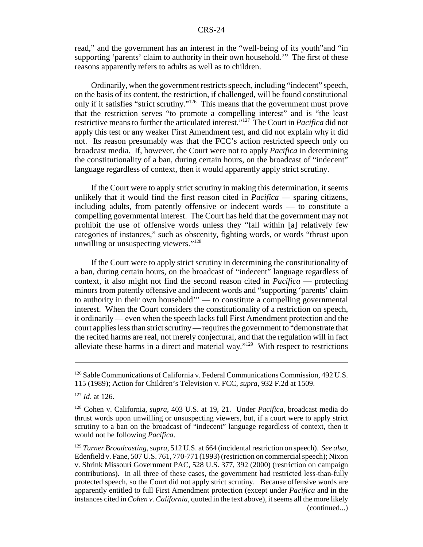read," and the government has an interest in the "well-being of its youth"and "in supporting 'parents' claim to authority in their own household.'" The first of these reasons apparently refers to adults as well as to children.

Ordinarily, when the government restricts speech, including "indecent" speech, on the basis of its content, the restriction, if challenged, will be found constitutional only if it satisfies "strict scrutiny."126 This means that the government must prove that the restriction serves "to promote a compelling interest" and is "the least restrictive means to further the articulated interest."127 The Court in *Pacifica* did not apply this test or any weaker First Amendment test, and did not explain why it did not. Its reason presumably was that the FCC's action restricted speech only on broadcast media. If, however, the Court were not to apply *Pacifica* in determining the constitutionality of a ban, during certain hours, on the broadcast of "indecent" language regardless of context, then it would apparently apply strict scrutiny.

If the Court were to apply strict scrutiny in making this determination, it seems unlikely that it would find the first reason cited in *Pacifica* — sparing citizens, including adults, from patently offensive or indecent words — to constitute a compelling governmental interest. The Court has held that the government may not prohibit the use of offensive words unless they "fall within [a] relatively few categories of instances," such as obscenity, fighting words, or words "thrust upon unwilling or unsuspecting viewers."<sup>128</sup>

If the Court were to apply strict scrutiny in determining the constitutionality of a ban, during certain hours, on the broadcast of "indecent" language regardless of context, it also might not find the second reason cited in *Pacifica* — protecting minors from patently offensive and indecent words and "supporting 'parents' claim to authority in their own household'" — to constitute a compelling governmental interest. When the Court considers the constitutionality of a restriction on speech, it ordinarily — even when the speech lacks full First Amendment protection and the court applies less than strict scrutiny — requires the government to "demonstrate that the recited harms are real, not merely conjectural, and that the regulation will in fact alleviate these harms in a direct and material way." $129$  With respect to restrictions

<sup>126</sup> Sable Communications of California v. Federal Communications Commission, 492 U.S. 115 (1989); Action for Children's Television v. FCC, *supra*, 932 F.2d at 1509.

<sup>127</sup> *Id*. at 126.

<sup>128</sup> Cohen v. California, *supra*, 403 U.S. at 19, 21. Under *Pacifica*, broadcast media do thrust words upon unwilling or unsuspecting viewers, but, if a court were to apply strict scrutiny to a ban on the broadcast of "indecent" language regardless of context, then it would not be following *Pacifica*.

<sup>129</sup> *Turner Broadcasting*, *supra*, 512 U.S. at 664 (incidental restriction on speech). *See also*, Edenfield v. Fane, 507 U.S. 761, 770-771 (1993) (restriction on commercial speech); Nixon v. Shrink Missouri Government PAC, 528 U.S. 377, 392 (2000) (restriction on campaign contributions). In all three of these cases, the government had restricted less-than-fully protected speech, so the Court did not apply strict scrutiny. Because offensive words are apparently entitled to full First Amendment protection (except under *Pacifica* and in the instances cited in *Cohen v. California*, quoted in the text above), it seems all the more likely (continued...)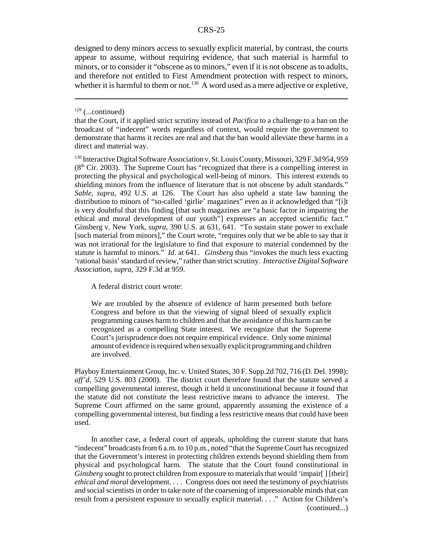designed to deny minors access to sexually explicit material, by contrast, the courts appear to assume, without requiring evidence, that such material is harmful to minors, or to consider it "obscene as to minors," even if it is not obscene as to adults, and therefore not entitled to First Amendment protection with respect to minors, whether it is harmful to them or not.<sup>130</sup> A word used as a mere adjective or expletive,

A federal district court wrote:

We are troubled by the absence of evidence of harm presented both before Congress and before us that the viewing of signal bleed of sexually explicit programming causes harm to children and that the avoidance of this harm can be recognized as a compelling State interest. We recognize that the Supreme Court's jurisprudence does not require empirical evidence. Only some minimal amount of evidence is required when sexually explicit programming and children are involved.

Playboy Entertainment Group, Inc. v. United States, 30 F. Supp.2d 702, 716 (D. Del. 1998); *aff'd*, 529 U.S. 803 (2000). The district court therefore found that the statute served a compelling governmental interest, though it held it unconstitutional because it found that the statute did not constitute the least restrictive means to advance the interest. The Supreme Court affirmed on the same ground, apparently assuming the existence of a compelling governmental interest, but finding a less restrictive means that could have been used.

In another case, a federal court of appeals, upholding the current statute that bans "indecent" broadcasts from 6 a.m. to 10 p.m., noted "that the Supreme Court has recognized that the Government's interest in protecting children extends beyond shielding them from physical and psychological harm. The statute that the Court found constitutional in *Ginsberg* sought to protect children from exposure to materials that would 'impair[] [their] *ethical and moral* development. . . . Congress does not need the testimony of psychiatrists and social scientists in order to take note of the coarsening of impressionable minds that can result from a persistent exposure to sexually explicit material. . . ." Action for Children's (continued...)

 $129$  (...continued)

that the Court, if it applied strict scrutiny instead of *Pacifica* to a challenge to a ban on the broadcast of "indecent" words regardless of context, would require the government to demonstrate that harms it recites are real and that the ban would alleviate these harms in a direct and material way.

<sup>&</sup>lt;sup>130</sup> Interactive Digital Software Association v. St. Louis County, Missouri, 329 F.3d 954, 959  $(8<sup>th</sup> Cir. 2003)$ . The Supreme Court has "recognized that there is a compelling interest in protecting the physical and psychological well-being of minors. This interest extends to shielding minors from the influence of literature that is not obscene by adult standards." *Sable*, *supra*, 492 U.S. at 126. The Court has also upheld a state law banning the distribution to minors of "so-called 'girlie' magazines" even as it acknowledged that "[i]t is very doubtful that this finding [that such magazines are "a basic factor in impairing the ethical and moral development of our youth"] expresses an accepted scientific fact." Ginsberg v. New York, *supra*, 390 U.S. at 631, 641. "To sustain state power to exclude [such material from minors]," the Court wrote, "requires only that we be able to say that it was not irrational for the legislature to find that exposure to material condemned by the statute is harmful to minors." *Id*. at 641. *Ginsberg* thus "invokes the much less exacting 'rational basis' standard of review," rather than strict scrutiny. *Interactive Digital Software Association*, *supra*, 329 F.3d at 959.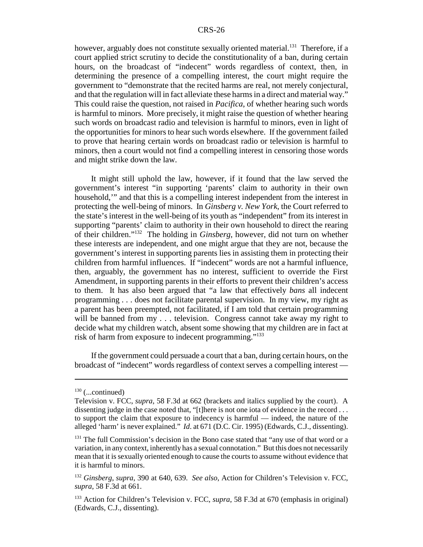however, arguably does not constitute sexually oriented material.<sup>131</sup> Therefore, if a court applied strict scrutiny to decide the constitutionality of a ban, during certain hours, on the broadcast of "indecent" words regardless of context, then, in determining the presence of a compelling interest, the court might require the government to "demonstrate that the recited harms are real, not merely conjectural, and that the regulation will in fact alleviate these harms in a direct and material way." This could raise the question, not raised in *Pacifica*, of whether hearing such words is harmful to minors. More precisely, it might raise the question of whether hearing such words on broadcast radio and television is harmful to minors, even in light of the opportunities for minors to hear such words elsewhere. If the government failed to prove that hearing certain words on broadcast radio or television is harmful to minors, then a court would not find a compelling interest in censoring those words and might strike down the law.

It might still uphold the law, however, if it found that the law served the government's interest "in supporting 'parents' claim to authority in their own household,'" and that this is a compelling interest independent from the interest in protecting the well-being of minors. In *Ginsberg v. New York*, the Court referred to the state's interest in the well-being of its youth as "independent" from its interest in supporting "parents' claim to authority in their own household to direct the rearing of their children."132 The holding in *Ginsberg*, however, did not turn on whether these interests are independent, and one might argue that they are not, because the government's interest in supporting parents lies in assisting them in protecting their children from harmful influences. If "indecent" words are not a harmful influence, then, arguably, the government has no interest, sufficient to override the First Amendment, in supporting parents in their efforts to prevent their children's access to them. It has also been argued that "a law that effectively *bans* all indecent programming . . . does not facilitate parental supervision. In my view, my right as a parent has been preempted, not facilitated, if I am told that certain programming will be banned from my . . . television. Congress cannot take away my right to decide what my children watch, absent some showing that my children are in fact at risk of harm from exposure to indecent programming."133

If the government could persuade a court that a ban, during certain hours, on the broadcast of "indecent" words regardless of context serves a compelling interest —

 $130$  (...continued)

Television v. FCC, *supra*, 58 F.3d at 662 (brackets and italics supplied by the court). A dissenting judge in the case noted that, "[t]here is not one iota of evidence in the record . . . to support the claim that exposure to indecency is harmful — indeed, the nature of the alleged 'harm' is never explained." *Id*. at 671 (D.C. Cir. 1995) (Edwards, C.J., dissenting).

 $131$  The full Commission's decision in the Bono case stated that "any use of that word or a variation, in any context, inherently has a sexual connotation." But this does not necessarily mean that it is sexually oriented enough to cause the courts to assume without evidence that it is harmful to minors.

<sup>132</sup> *Ginsberg*, *supra*, 390 at 640, 639. *See also*, Action for Children's Television v. FCC, *supra*, 58 F.3d at 661.

<sup>133</sup> Action for Children's Television v. FCC, *supra*, 58 F.3d at 670 (emphasis in original) (Edwards, C.J., dissenting).